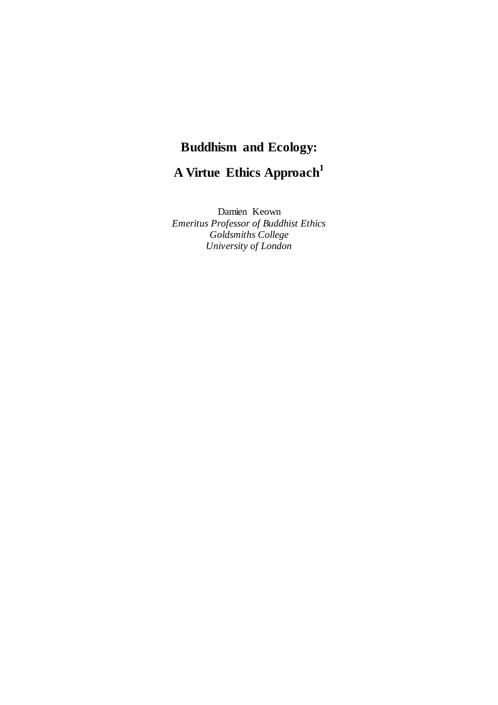# **Buddhism and Ecology:**

**A Virtue Ethics Approach<sup>1</sup>**

Damien Keown *Emeritus Professor of Buddhist Ethics Goldsmiths College University of London*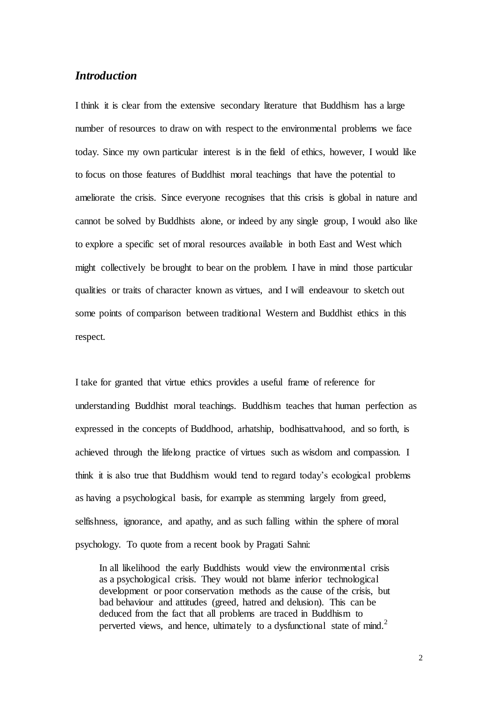# *Introduction*

I think it is clear from the extensive secondary literature that Buddhism has a large number of resources to draw on with respect to the environmental problems we face today. Since my own particular interest is in the field of ethics, however, I would like to focus on those features of Buddhist moral teachings that have the potential to ameliorate the crisis. Since everyone recognises that this crisis is global in nature and cannot be solved by Buddhists alone, or indeed by any single group, I would also like to explore a specific set of moral resources available in both East and West which might collectively be brought to bear on the problem. I have in mind those particular qualities or traits of character known as virtues, and I will endeavour to sketch out some points of comparison between traditional Western and Buddhist ethics in this respect.

I take for granted that virtue ethics provides a useful frame of reference for understanding Buddhist moral teachings. Buddhism teaches that human perfection as expressed in the concepts of Buddhood, arhatship, bodhisattvahood, and so forth, is achieved through the lifelong practice of virtues such as wisdom and compassion. I think it is also true that Buddhism would tend to regard today's ecological problems as having a psychological basis, for example as stemming largely from greed, selfishness, ignorance, and apathy, and as such falling within the sphere of moral psychology. To quote from a recent book by Pragati Sahni:

In all likelihood the early Buddhists would view the environmental crisis as a psychological crisis. They would not blame inferior technological development or poor conservation methods as the cause of the crisis, but bad behaviour and attitudes (greed, hatred and delusion). This can be deduced from the fact that all problems are traced in Buddhism to perverted views, and hence, ultimately to a dysfunctional state of mind.<sup>2</sup>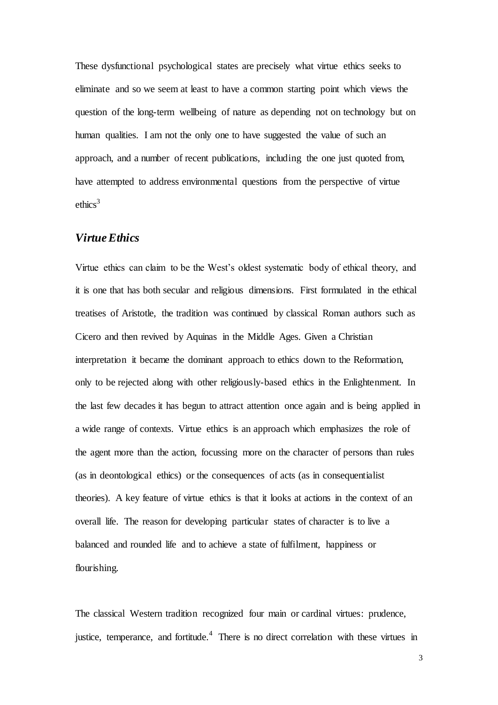These dysfunctional psychological states are precisely what virtue ethics seeks to eliminate and so we seem at least to have a common starting point which views the question of the long-term wellbeing of nature as depending not on technology but on human qualities. I am not the only one to have suggested the value of such an approach, and a number of recent publications, including the one just quoted from, have attempted to address environmental questions from the perspective of virtue ethics<sup>3</sup>

## *Virtue Ethics*

Virtue ethics can claim to be the West's oldest systematic body of ethical theory, and it is one that has both secular and religious dimensions. First formulated in the ethical treatises of Aristotle, the tradition was continued by classical Roman authors such as Cicero and then revived by Aquinas in the Middle Ages. Given a Christian interpretation it became the dominant approach to ethics down to the Reformation, only to be rejected along with other religiously-based ethics in the Enlightenment. In the last few decades it has begun to attract attention once again and is being applied in a wide range of contexts. Virtue ethics is an approach which emphasizes the role of the agent more than the action, focussing more on the character of persons than rules (as in deontological ethics) or the consequences of acts (as in consequentialist theories). A key feature of virtue ethics is that it looks at actions in the context of an overall life. The reason for developing particular states of character is to live a balanced and rounded life and to achieve a state of fulfilment, happiness or flourishing.

The classical Western tradition recognized four main or cardinal virtues: prudence, justice, temperance, and fortitude.<sup>4</sup> There is no direct correlation with these virtues in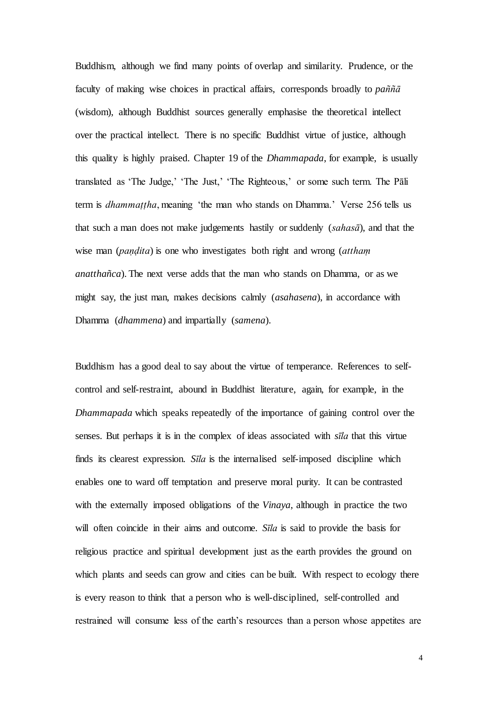Buddhism, although we find many points of overlap and similarity. Prudence, or the faculty of making wise choices in practical affairs, corresponds broadly to *paññā* (wisdom), although Buddhist sources generally emphasise the theoretical intellect over the practical intellect. There is no specific Buddhist virtue of justice, although this quality is highly praised. Chapter 19 of the *Dhammapada*, for example, is usually translated as 'The Judge,' 'The Just,' 'The Righteous,' or some such term. The Pāli term is *dhammaṭṭha*, meaning 'the man who stands on Dhamma.' Verse 256 tells us that such a man does not make judgements hastily or suddenly (*sahasā*), and that the wise man (*paṇḍita*) is one who investigates both right and wrong (*atthaṃ anatthañca*). The next verse adds that the man who stands on Dhamma, or as we might say, the just man, makes decisions calmly (*asahasena*), in accordance with Dhamma (*dhammena*) and impartially (*samena*).

Buddhism has a good deal to say about the virtue of temperance. References to selfcontrol and self-restraint, abound in Buddhist literature, again, for example, in the *Dhammapada* which speaks repeatedly of the importance of gaining control over the senses. But perhaps it is in the complex of ideas associated with *sīla* that this virtue finds its clearest expression. *Sīla* is the internalised self-imposed discipline which enables one to ward off temptation and preserve moral purity. It can be contrasted with the externally imposed obligations of the *Vinaya*, although in practice the two will often coincide in their aims and outcome. *Sīla* is said to provide the basis for religious practice and spiritual development just as the earth provides the ground on which plants and seeds can grow and cities can be built. With respect to ecology there is every reason to think that a person who is well-disciplined, self-controlled and restrained will consume less of the earth's resources than a person whose appetites are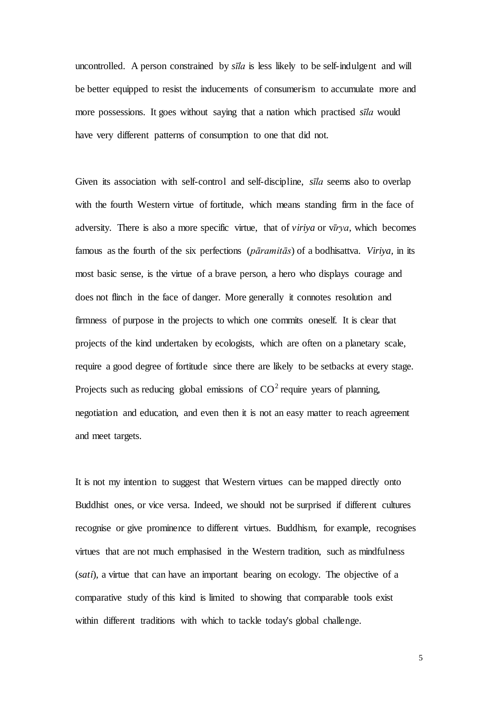uncontrolled. A person constrained by *sīla* is less likely to be self-indulgent and will be better equipped to resist the inducements of consumerism to accumulate more and more possessions. It goes without saying that a nation which practised *sīla* would have very different patterns of consumption to one that did not.

Given its association with self-control and self-discipline, *sīla* seems also to overlap with the fourth Western virtue of fortitude, which means standing firm in the face of adversity. There is also a more specific virtue, that of *viriya* or v*īrya*, which becomes famous as the fourth of the six perfections (*pāramitās*) of a bodhisattva. *Viriya,* in its most basic sense, is the virtue of a brave person, a hero who displays courage and does not flinch in the face of danger. More generally it connotes resolution and firmness of purpose in the projects to which one commits oneself. It is clear that projects of the kind undertaken by ecologists, which are often on a planetary scale, require a good degree of fortitude since there are likely to be setbacks at every stage. Projects such as reducing global emissions of  $CO<sup>2</sup>$  require years of planning, negotiation and education, and even then it is not an easy matter to reach agreement and meet targets.

It is not my intention to suggest that Western virtues can be mapped directly onto Buddhist ones, or vice versa. Indeed, we should not be surprised if different cultures recognise or give prominence to different virtues. Buddhism, for example, recognises virtues that are not much emphasised in the Western tradition, such as mindfulness (*sati*), a virtue that can have an important bearing on ecology. The objective of a comparative study of this kind is limited to showing that comparable tools exist within different traditions with which to tackle today's global challenge.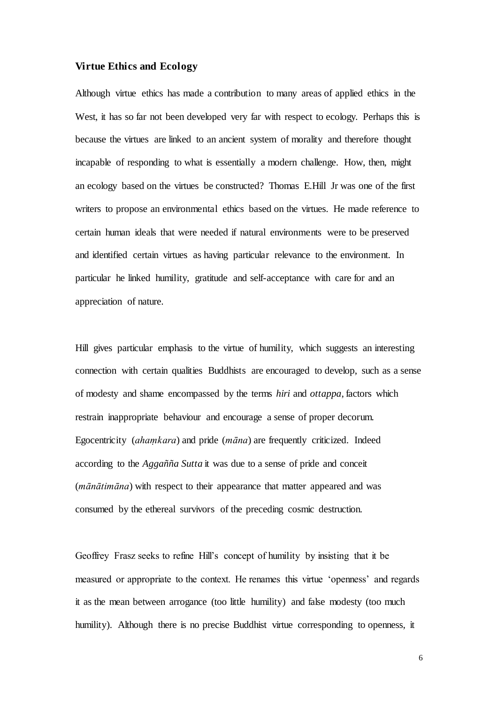#### **Virtue Ethics and Ecology**

Although virtue ethics has made a contribution to many areas of applied ethics in the West, it has so far not been developed very far with respect to ecology. Perhaps this is because the virtues are linked to an ancient system of morality and therefore thought incapable of responding to what is essentially a modern challenge. How, then, might an ecology based on the virtues be constructed? Thomas E.Hill Jr was one of the first writers to propose an environmental ethics based on the virtues. He made reference to certain human ideals that were needed if natural environments were to be preserved and identified certain virtues as having particular relevance to the environment. In particular he linked humility, gratitude and self-acceptance with care for and an appreciation of nature.

Hill gives particular emphasis to the virtue of humility, which suggests an interesting connection with certain qualities Buddhists are encouraged to develop, such as a sense of modesty and shame encompassed by the terms *hiri* and *ottappa*, factors which restrain inappropriate behaviour and encourage a sense of proper decorum. Egocentricity (*ahaṃkara*) and pride (*māna*) are frequently criticized. Indeed according to the *Aggañña Sutta* it was due to a sense of pride and conceit (*mānātimāna*) with respect to their appearance that matter appeared and was consumed by the ethereal survivors of the preceding cosmic destruction.

Geoffrey Frasz seeks to refine Hill's concept of humility by insisting that it be measured or appropriate to the context. He renames this virtue 'openness' and regards it as the mean between arrogance (too little humility) and false modesty (too much humility). Although there is no precise Buddhist virtue corresponding to openness, it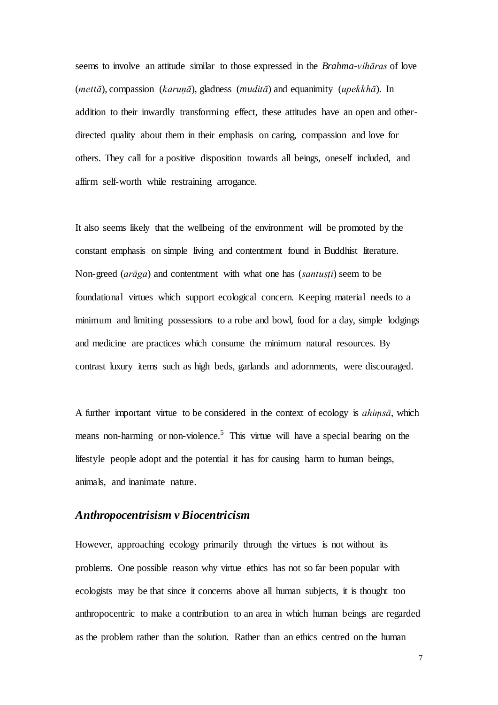seems to involve an attitude similar to those expressed in the *Brahma-vihāras* of love (*mettā*), compassion (*karuṇā*), gladness (*muditā*) and equanimity (*upekkhā*). In addition to their inwardly transforming effect, these attitudes have an open and otherdirected quality about them in their emphasis on caring, compassion and love for others. They call for a positive disposition towards all beings, oneself included, and affirm self-worth while restraining arrogance.

It also seems likely that the wellbeing of the environment will be promoted by the constant emphasis on simple living and contentment found in Buddhist literature. Non-greed (*arāga*) and contentment with what one has (*santuṣṭi*) seem to be foundational virtues which support ecological concern. Keeping material needs to a minimum and limiting possessions to a robe and bowl, food for a day, simple lodgings and medicine are practices which consume the minimum natural resources. By contrast luxury items such as high beds, garlands and adornments, were discouraged.

A further important virtue to be considered in the context of ecology is *ahiṃsā*, which means non-harming or non-violence.<sup>5</sup> This virtue will have a special bearing on the lifestyle people adopt and the potential it has for causing harm to human beings, animals, and inanimate nature.

## *Anthropocentrisism v Biocentricism*

However, approaching ecology primarily through the virtues is not without its problems. One possible reason why virtue ethics has not so far been popular with ecologists may be that since it concerns above all human subjects, it is thought too anthropocentric to make a contribution to an area in which human beings are regarded as the problem rather than the solution. Rather than an ethics centred on the human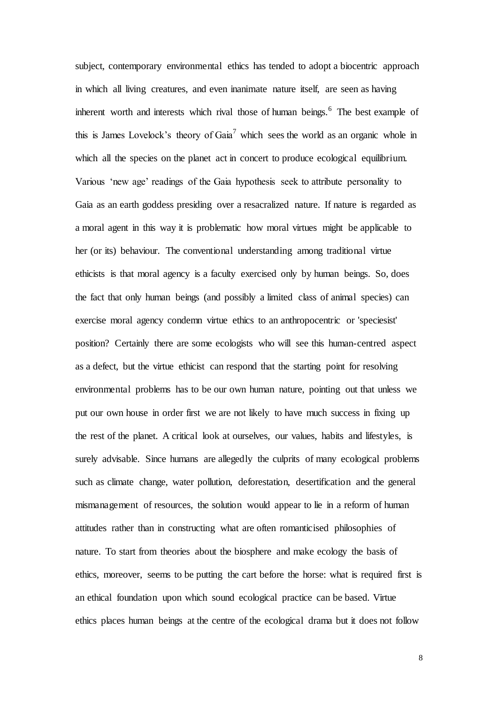subject, contemporary environmental ethics has tended to adopt a biocentric approach in which all living creatures, and even inanimate nature itself, are seen as having inherent worth and interests which rival those of human beings.<sup>6</sup> The best example of this is James Lovelock's theory of Gaia<sup>7</sup> which sees the world as an organic whole in which all the species on the planet act in concert to produce ecological equilibrium. Various 'new age' readings of the Gaia hypothesis seek to attribute personality to Gaia as an earth goddess presiding over a resacralized nature. If nature is regarded as a moral agent in this way it is problematic how moral virtues might be applicable to her (or its) behaviour. The conventional understanding among traditional virtue ethicists is that moral agency is a faculty exercised only by human beings. So, does the fact that only human beings (and possibly a limited class of animal species) can exercise moral agency condemn virtue ethics to an anthropocentric or 'speciesist' position? Certainly there are some ecologists who will see this human-centred aspect as a defect, but the virtue ethicist can respond that the starting point for resolving environmental problems has to be our own human nature, pointing out that unless we put our own house in order first we are not likely to have much success in fixing up the rest of the planet. A critical look at ourselves, our values, habits and lifestyles, is surely advisable. Since humans are allegedly the culprits of many ecological problems such as climate change, water pollution, deforestation, desertification and the general mismanagement of resources, the solution would appear to lie in a reform of human attitudes rather than in constructing what are often romanticised philosophies of nature. To start from theories about the biosphere and make ecology the basis of ethics, moreover, seems to be putting the cart before the horse: what is required first is an ethical foundation upon which sound ecological practice can be based. Virtue ethics places human beings at the centre of the ecological drama but it does not follow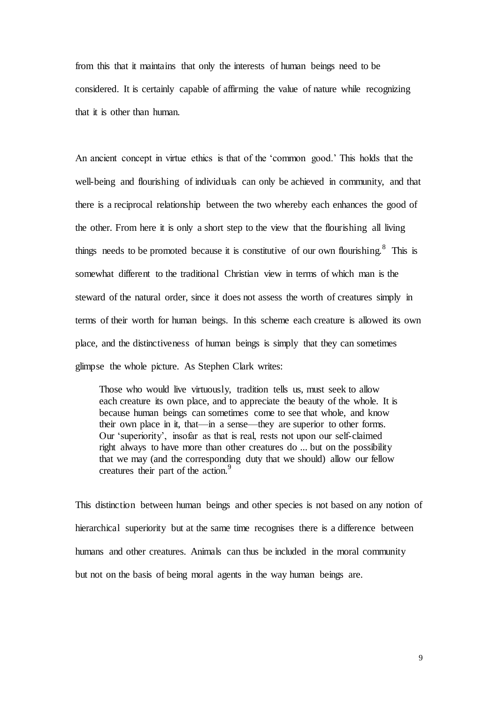from this that it maintains that only the interests of human beings need to be considered. It is certainly capable of affirming the value of nature while recognizing that it is other than human.

An ancient concept in virtue ethics is that of the 'common good.' This holds that the well-being and flourishing of individuals can only be achieved in community, and that there is a reciprocal relationship between the two whereby each enhances the good of the other. From here it is only a short step to the view that the flourishing all living things needs to be promoted because it is constitutive of our own flourishing.<sup>8</sup> This is somewhat different to the traditional Christian view in terms of which man is the steward of the natural order, since it does not assess the worth of creatures simply in terms of their worth for human beings. In this scheme each creature is allowed its own place, and the distinctiveness of human beings is simply that they can sometimes glimpse the whole picture. As Stephen Clark writes:

Those who would live virtuously, tradition tells us, must seek to allow each creature its own place, and to appreciate the beauty of the whole. It is because human beings can sometimes come to see that whole, and know their own place in it, that—in a sense—they are superior to other forms. Our 'superiority', insofar as that is real, rests not upon our self-claimed right always to have more than other creatures do ... but on the possibility that we may (and the corresponding duty that we should) allow our fellow creatures their part of the action.<sup>9</sup>

This distinction between human beings and other species is not based on any notion of hierarchical superiority but at the same time recognises there is a difference between humans and other creatures. Animals can thus be included in the moral community but not on the basis of being moral agents in the way human beings are.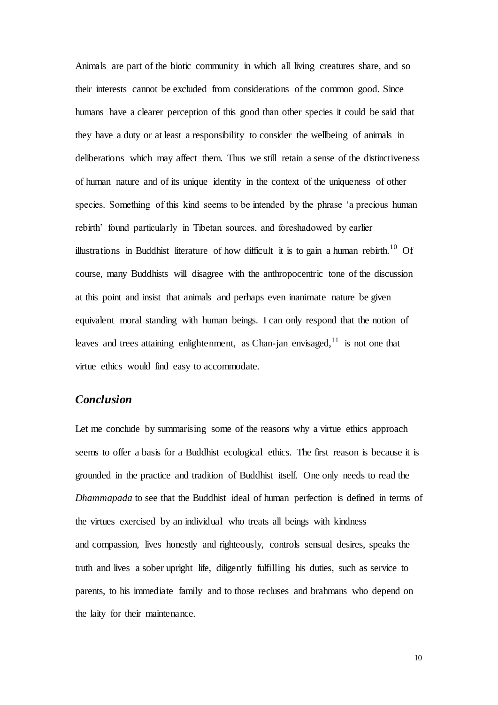Animals are part of the biotic community in which all living creatures share, and so their interests cannot be excluded from considerations of the common good. Since humans have a clearer perception of this good than other species it could be said that they have a duty or at least a responsibility to consider the wellbeing of animals in deliberations which may affect them. Thus we still retain a sense of the distinctiveness of human nature and of its unique identity in the context of the uniqueness of other species. Something of this kind seems to be intended by the phrase 'a precious human rebirth' found particularly in Tibetan sources, and foreshadowed by earlier illustrations in Buddhist literature of how difficult it is to gain a human rebirth.<sup>10</sup> Of course, many Buddhists will disagree with the anthropocentric tone of the discussion at this point and insist that animals and perhaps even inanimate nature be given equivalent moral standing with human beings. I can only respond that the notion of leaves and trees attaining enlightenment, as Chan-jan envisaged, $11$  is not one that virtue ethics would find easy to accommodate.

# *Conclusion*

Let me conclude by summarising some of the reasons why a virtue ethics approach seems to offer a basis for a Buddhist ecological ethics. The first reason is because it is grounded in the practice and tradition of Buddhist itself. One only needs to read the *Dhammapada* to see that the Buddhist ideal of human perfection is defined in terms of the virtues exercised by an individual who treats all beings with kindness and compassion, lives honestly and righteously, controls sensual desires, speaks the truth and lives a sober upright life, diligently fulfilling his duties, such as service to parents, to his immediate family and to those recluses and brahmans who depend on the laity for their maintenance.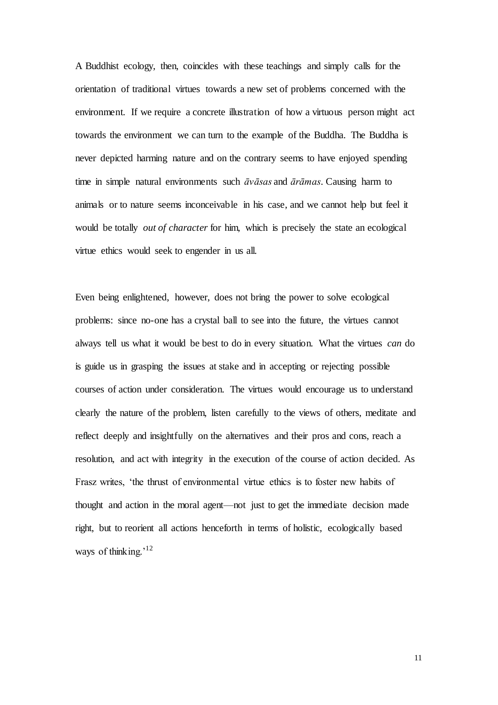A Buddhist ecology, then, coincides with these teachings and simply calls for the orientation of traditional virtues towards a new set of problems concerned with the environment. If we require a concrete illustration of how a virtuous person might act towards the environment we can turn to the example of the Buddha. The Buddha is never depicted harming nature and on the contrary seems to have enjoyed spending time in simple natural environments such *āvāsas* and *ārāmas*. Causing harm to animals or to nature seems inconceivable in his case, and we cannot help but feel it would be totally *out of character* for him, which is precisely the state an ecological virtue ethics would seek to engender in us all.

Even being enlightened, however, does not bring the power to solve ecological problems: since no-one has a crystal ball to see into the future, the virtues cannot always tell us what it would be best to do in every situation. What the virtues *can* do is guide us in grasping the issues at stake and in accepting or rejecting possible courses of action under consideration. The virtues would encourage us to understand clearly the nature of the problem, listen carefully to the views of others, meditate and reflect deeply and insightfully on the alternatives and their pros and cons, reach a resolution, and act with integrity in the execution of the course of action decided. As Frasz writes, 'the thrust of environmental virtue ethics is to foster new habits of thought and action in the moral agent—not just to get the immediate decision made right, but to reorient all actions henceforth in terms of holistic, ecologically based ways of thinking.<sup>'12</sup>